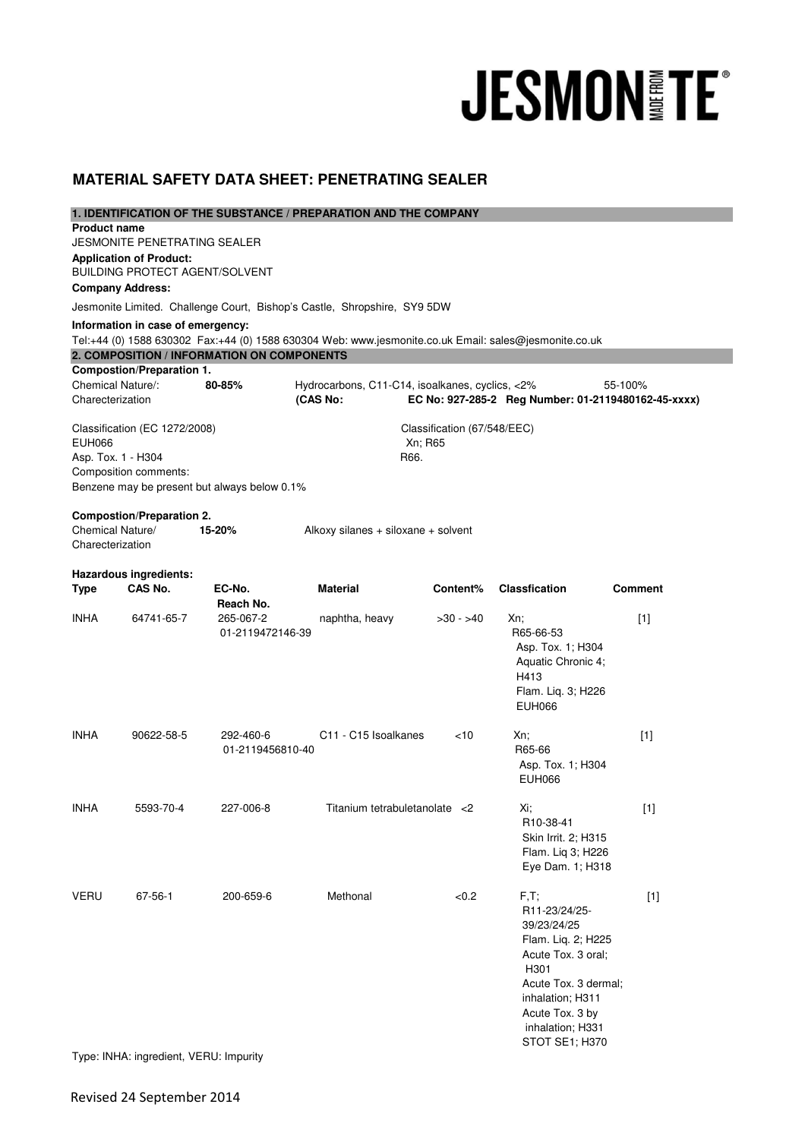# **JESMON FE®**

# **MATERIAL SAFETY DATA SHEET: PENETRATING SEALER**

| <b>Product name</b>                  |                                        |                                              | 1. IDENTIFICATION OF THE SUBSTANCE / PREPARATION AND THE COMPANY                                      |                             |                                                     |                |
|--------------------------------------|----------------------------------------|----------------------------------------------|-------------------------------------------------------------------------------------------------------|-----------------------------|-----------------------------------------------------|----------------|
|                                      | JESMONITE PENETRATING SEALER           |                                              |                                                                                                       |                             |                                                     |                |
|                                      | <b>Application of Product:</b>         |                                              |                                                                                                       |                             |                                                     |                |
|                                      |                                        | <b>BUILDING PROTECT AGENT/SOLVENT</b>        |                                                                                                       |                             |                                                     |                |
| <b>Company Address:</b>              |                                        |                                              |                                                                                                       |                             |                                                     |                |
|                                      |                                        |                                              | Jesmonite Limited. Challenge Court, Bishop's Castle, Shropshire, SY9 5DW                              |                             |                                                     |                |
|                                      | Information in case of emergency:      |                                              |                                                                                                       |                             |                                                     |                |
|                                      |                                        |                                              | Tel:+44 (0) 1588 630302 Fax:+44 (0) 1588 630304 Web: www.jesmonite.co.uk Email: sales@jesmonite.co.uk |                             |                                                     |                |
|                                      |                                        | 2. COMPOSITION / INFORMATION ON COMPONENTS   |                                                                                                       |                             |                                                     |                |
|                                      | <b>Compostion/Preparation 1.</b>       |                                              |                                                                                                       |                             |                                                     |                |
| Chemical Nature/:                    |                                        | 80-85%                                       | Hydrocarbons, C11-C14, isoalkanes, cyclics, <2%                                                       |                             |                                                     | 55-100%        |
| Charecterization                     |                                        |                                              | (CAS No:                                                                                              |                             | EC No: 927-285-2 Reg Number: 01-2119480162-45-xxxx) |                |
|                                      | Classification (EC 1272/2008)          |                                              |                                                                                                       | Classification (67/548/EEC) |                                                     |                |
| <b>EUH066</b>                        |                                        |                                              |                                                                                                       | Xn; R65                     |                                                     |                |
| Asp. Tox. 1 - H304                   |                                        |                                              |                                                                                                       | R66.                        |                                                     |                |
|                                      | Composition comments:                  |                                              |                                                                                                       |                             |                                                     |                |
|                                      |                                        | Benzene may be present but always below 0.1% |                                                                                                       |                             |                                                     |                |
|                                      |                                        |                                              |                                                                                                       |                             |                                                     |                |
|                                      | <b>Compostion/Preparation 2.</b>       |                                              |                                                                                                       |                             |                                                     |                |
| Chemical Nature/<br>Charecterization |                                        | 15-20%                                       | Alkoxy silanes + siloxane + solvent                                                                   |                             |                                                     |                |
|                                      |                                        |                                              |                                                                                                       |                             |                                                     |                |
|                                      | <b>Hazardous ingredients:</b>          |                                              |                                                                                                       |                             |                                                     |                |
| <b>Type</b>                          | CAS No.                                | EC-No.                                       | <b>Material</b>                                                                                       | Content%                    | <b>Classfication</b>                                | <b>Comment</b> |
|                                      |                                        | Reach No.                                    |                                                                                                       |                             |                                                     |                |
| <b>INHA</b>                          | 64741-65-7                             | 265-067-2                                    | naphtha, heavy                                                                                        | $>30 - 540$                 | Xn;                                                 | [1]            |
|                                      |                                        | 01-2119472146-39                             |                                                                                                       |                             | R65-66-53                                           |                |
|                                      |                                        |                                              |                                                                                                       |                             | Asp. Tox. 1; H304                                   |                |
|                                      |                                        |                                              |                                                                                                       |                             | Aquatic Chronic 4;                                  |                |
|                                      |                                        |                                              |                                                                                                       |                             | H413                                                |                |
|                                      |                                        |                                              |                                                                                                       |                             | Flam. Liq. 3; H226<br><b>EUH066</b>                 |                |
|                                      |                                        |                                              |                                                                                                       |                             |                                                     |                |
| <b>INHA</b>                          | 90622-58-5                             | 292-460-6                                    | C <sub>11</sub> - C <sub>15</sub> Isoalkanes                                                          | $<$ 10                      | Xn:                                                 | $[1]$          |
|                                      |                                        | 01-2119456810-40                             |                                                                                                       |                             | R65-66                                              |                |
|                                      |                                        |                                              |                                                                                                       |                             | Asp. Tox. 1; H304                                   |                |
|                                      |                                        |                                              |                                                                                                       |                             | <b>EUH066</b>                                       |                |
|                                      |                                        |                                              |                                                                                                       |                             |                                                     |                |
| <b>INHA</b>                          | 5593-70-4                              | 227-006-8                                    | Titanium tetrabuletanolate <2                                                                         |                             | Xi;                                                 | $[1]$          |
|                                      |                                        |                                              |                                                                                                       |                             | R10-38-41                                           |                |
|                                      |                                        |                                              |                                                                                                       |                             | Skin Irrit. 2; H315<br>Flam. Liq 3; H226            |                |
|                                      |                                        |                                              |                                                                                                       |                             | Eye Dam. 1; H318                                    |                |
|                                      |                                        |                                              |                                                                                                       |                             |                                                     |                |
| <b>VERU</b>                          | 67-56-1                                | 200-659-6                                    | Methonal                                                                                              | < 0.2                       | $F, T$ ;                                            | $[1]$          |
|                                      |                                        |                                              |                                                                                                       |                             | R11-23/24/25-                                       |                |
|                                      |                                        |                                              |                                                                                                       |                             | 39/23/24/25                                         |                |
|                                      |                                        |                                              |                                                                                                       |                             | Flam. Liq. 2; H225                                  |                |
|                                      |                                        |                                              |                                                                                                       |                             | Acute Tox. 3 oral;                                  |                |
|                                      |                                        |                                              |                                                                                                       |                             | H <sub>301</sub>                                    |                |
|                                      |                                        |                                              |                                                                                                       |                             | Acute Tox. 3 dermal;                                |                |
|                                      |                                        |                                              |                                                                                                       |                             | inhalation; H311                                    |                |
|                                      |                                        |                                              |                                                                                                       |                             | Acute Tox. 3 by                                     |                |
|                                      |                                        |                                              |                                                                                                       |                             | inhalation; H331<br>STOT SE1; H370                  |                |
|                                      | Type: INHA: ingredient, VERU: Impurity |                                              |                                                                                                       |                             |                                                     |                |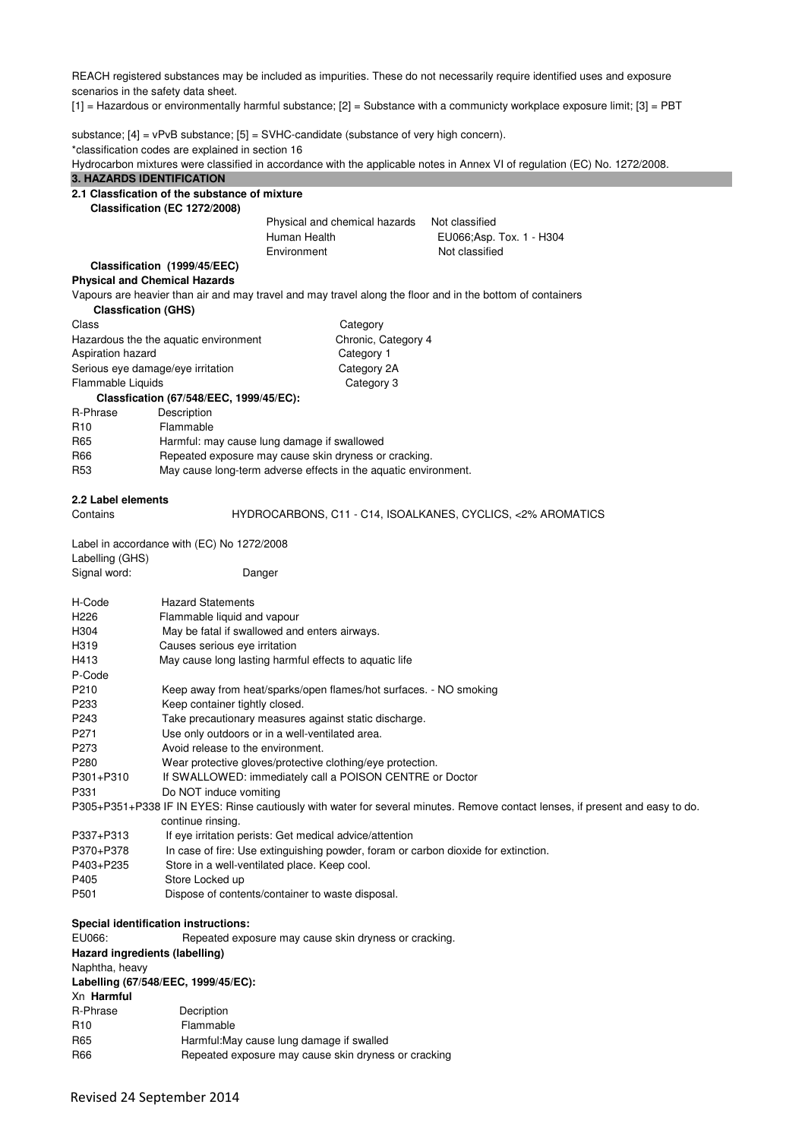REACH registered substances may be included as impurities. These do not necessarily require identified uses and exposure scenarios in the safety data sheet.

[1] = Hazardous or environmentally harmful substance; [2] = Substance with a communicty workplace exposure limit; [3] = PBT

substance;  $[4]$  = vPvB substance;  $[5]$  = SVHC-candidate (substance of very high concern). \*classification codes are explained in section 16

Hydrocarbon mixtures were classified in accordance with the applicable notes in Annex VI of regulation (EC) No. 1272/2008.

# **3. HAZARDS IDENTIFICATION**

| 2.1 Classfication of the substance of mixture |  |
|-----------------------------------------------|--|
| Classification (EC 1272/2008)                 |  |

Physical and chemical hazards Not classified Human Health **EU066**; Asp. Tox. 1 - H304 Environment Not classified

# **Classification (1999/45/EEC)**

**Physical and Chemical Hazards** 

Vapours are heavier than air and may travel and may travel along the floor and in the bottom of containers

| <b>Classfication (GHS)</b>                  |                                                                                                                                                                                                                                                                                                                                                                                                                                                                                                                                                                                                                                                                                                                         |
|---------------------------------------------|-------------------------------------------------------------------------------------------------------------------------------------------------------------------------------------------------------------------------------------------------------------------------------------------------------------------------------------------------------------------------------------------------------------------------------------------------------------------------------------------------------------------------------------------------------------------------------------------------------------------------------------------------------------------------------------------------------------------------|
|                                             | Category                                                                                                                                                                                                                                                                                                                                                                                                                                                                                                                                                                                                                                                                                                                |
| Hazardous the the aquatic environment       | Chronic, Category 4                                                                                                                                                                                                                                                                                                                                                                                                                                                                                                                                                                                                                                                                                                     |
| Aspiration hazard                           | Category 1                                                                                                                                                                                                                                                                                                                                                                                                                                                                                                                                                                                                                                                                                                              |
| Serious eye damage/eye irritation           | Category 2A                                                                                                                                                                                                                                                                                                                                                                                                                                                                                                                                                                                                                                                                                                             |
| Flammable Liquids                           | Category 3                                                                                                                                                                                                                                                                                                                                                                                                                                                                                                                                                                                                                                                                                                              |
|                                             |                                                                                                                                                                                                                                                                                                                                                                                                                                                                                                                                                                                                                                                                                                                         |
| Description                                 |                                                                                                                                                                                                                                                                                                                                                                                                                                                                                                                                                                                                                                                                                                                         |
| Flammable                                   |                                                                                                                                                                                                                                                                                                                                                                                                                                                                                                                                                                                                                                                                                                                         |
|                                             |                                                                                                                                                                                                                                                                                                                                                                                                                                                                                                                                                                                                                                                                                                                         |
|                                             |                                                                                                                                                                                                                                                                                                                                                                                                                                                                                                                                                                                                                                                                                                                         |
|                                             | May cause long-term adverse effects in the aquatic environment.                                                                                                                                                                                                                                                                                                                                                                                                                                                                                                                                                                                                                                                         |
| 2.2 Label elements                          |                                                                                                                                                                                                                                                                                                                                                                                                                                                                                                                                                                                                                                                                                                                         |
|                                             | HYDROCARBONS, C11 - C14, ISOALKANES, CYCLICS, <2% AROMATICS                                                                                                                                                                                                                                                                                                                                                                                                                                                                                                                                                                                                                                                             |
| Label in accordance with (EC) No 1272/2008  |                                                                                                                                                                                                                                                                                                                                                                                                                                                                                                                                                                                                                                                                                                                         |
|                                             |                                                                                                                                                                                                                                                                                                                                                                                                                                                                                                                                                                                                                                                                                                                         |
|                                             |                                                                                                                                                                                                                                                                                                                                                                                                                                                                                                                                                                                                                                                                                                                         |
| <b>Hazard Statements</b>                    |                                                                                                                                                                                                                                                                                                                                                                                                                                                                                                                                                                                                                                                                                                                         |
|                                             |                                                                                                                                                                                                                                                                                                                                                                                                                                                                                                                                                                                                                                                                                                                         |
|                                             |                                                                                                                                                                                                                                                                                                                                                                                                                                                                                                                                                                                                                                                                                                                         |
|                                             |                                                                                                                                                                                                                                                                                                                                                                                                                                                                                                                                                                                                                                                                                                                         |
|                                             |                                                                                                                                                                                                                                                                                                                                                                                                                                                                                                                                                                                                                                                                                                                         |
|                                             |                                                                                                                                                                                                                                                                                                                                                                                                                                                                                                                                                                                                                                                                                                                         |
|                                             | Keep away from heat/sparks/open flames/hot surfaces. - NO smoking                                                                                                                                                                                                                                                                                                                                                                                                                                                                                                                                                                                                                                                       |
|                                             |                                                                                                                                                                                                                                                                                                                                                                                                                                                                                                                                                                                                                                                                                                                         |
|                                             |                                                                                                                                                                                                                                                                                                                                                                                                                                                                                                                                                                                                                                                                                                                         |
|                                             |                                                                                                                                                                                                                                                                                                                                                                                                                                                                                                                                                                                                                                                                                                                         |
|                                             |                                                                                                                                                                                                                                                                                                                                                                                                                                                                                                                                                                                                                                                                                                                         |
|                                             | Wear protective gloves/protective clothing/eye protection.                                                                                                                                                                                                                                                                                                                                                                                                                                                                                                                                                                                                                                                              |
|                                             | If SWALLOWED: immediately call a POISON CENTRE or Doctor                                                                                                                                                                                                                                                                                                                                                                                                                                                                                                                                                                                                                                                                |
| Do NOT induce vomiting                      |                                                                                                                                                                                                                                                                                                                                                                                                                                                                                                                                                                                                                                                                                                                         |
|                                             | P305+P351+P338 IF IN EYES: Rinse cautiously with water for several minutes. Remove contact lenses, if present and easy to do.                                                                                                                                                                                                                                                                                                                                                                                                                                                                                                                                                                                           |
| continue rinsing.                           |                                                                                                                                                                                                                                                                                                                                                                                                                                                                                                                                                                                                                                                                                                                         |
|                                             |                                                                                                                                                                                                                                                                                                                                                                                                                                                                                                                                                                                                                                                                                                                         |
|                                             | In case of fire: Use extinguishing powder, foram or carbon dioxide for extinction.                                                                                                                                                                                                                                                                                                                                                                                                                                                                                                                                                                                                                                      |
|                                             |                                                                                                                                                                                                                                                                                                                                                                                                                                                                                                                                                                                                                                                                                                                         |
| Store Locked up                             |                                                                                                                                                                                                                                                                                                                                                                                                                                                                                                                                                                                                                                                                                                                         |
|                                             |                                                                                                                                                                                                                                                                                                                                                                                                                                                                                                                                                                                                                                                                                                                         |
| <b>Special identification instructions:</b> |                                                                                                                                                                                                                                                                                                                                                                                                                                                                                                                                                                                                                                                                                                                         |
|                                             | Repeated exposure may cause skin dryness or cracking.                                                                                                                                                                                                                                                                                                                                                                                                                                                                                                                                                                                                                                                                   |
| Hazard ingredients (labelling)              |                                                                                                                                                                                                                                                                                                                                                                                                                                                                                                                                                                                                                                                                                                                         |
| Naphtha, heavy                              |                                                                                                                                                                                                                                                                                                                                                                                                                                                                                                                                                                                                                                                                                                                         |
| Labelling (67/548/EEC, 1999/45/EC):         |                                                                                                                                                                                                                                                                                                                                                                                                                                                                                                                                                                                                                                                                                                                         |
|                                             |                                                                                                                                                                                                                                                                                                                                                                                                                                                                                                                                                                                                                                                                                                                         |
|                                             |                                                                                                                                                                                                                                                                                                                                                                                                                                                                                                                                                                                                                                                                                                                         |
| Flammable                                   |                                                                                                                                                                                                                                                                                                                                                                                                                                                                                                                                                                                                                                                                                                                         |
| Harmful: May cause lung damage if swalled   |                                                                                                                                                                                                                                                                                                                                                                                                                                                                                                                                                                                                                                                                                                                         |
|                                             | Classfication (67/548/EEC, 1999/45/EC):<br>Harmful: may cause lung damage if swallowed<br>Repeated exposure may cause skin dryness or cracking.<br>Labelling (GHS)<br>Danger<br>Flammable liquid and vapour<br>May be fatal if swallowed and enters airways.<br>Causes serious eye irritation<br>May cause long lasting harmful effects to aquatic life<br>Keep container tightly closed.<br>Take precautionary measures against static discharge.<br>Use only outdoors or in a well-ventilated area.<br>Avoid release to the environment.<br>If eye irritation perists: Get medical advice/attention<br>Store in a well-ventilated place. Keep cool.<br>Dispose of contents/container to waste disposal.<br>Decription |

R66 Repeated exposure may cause skin dryness or cracking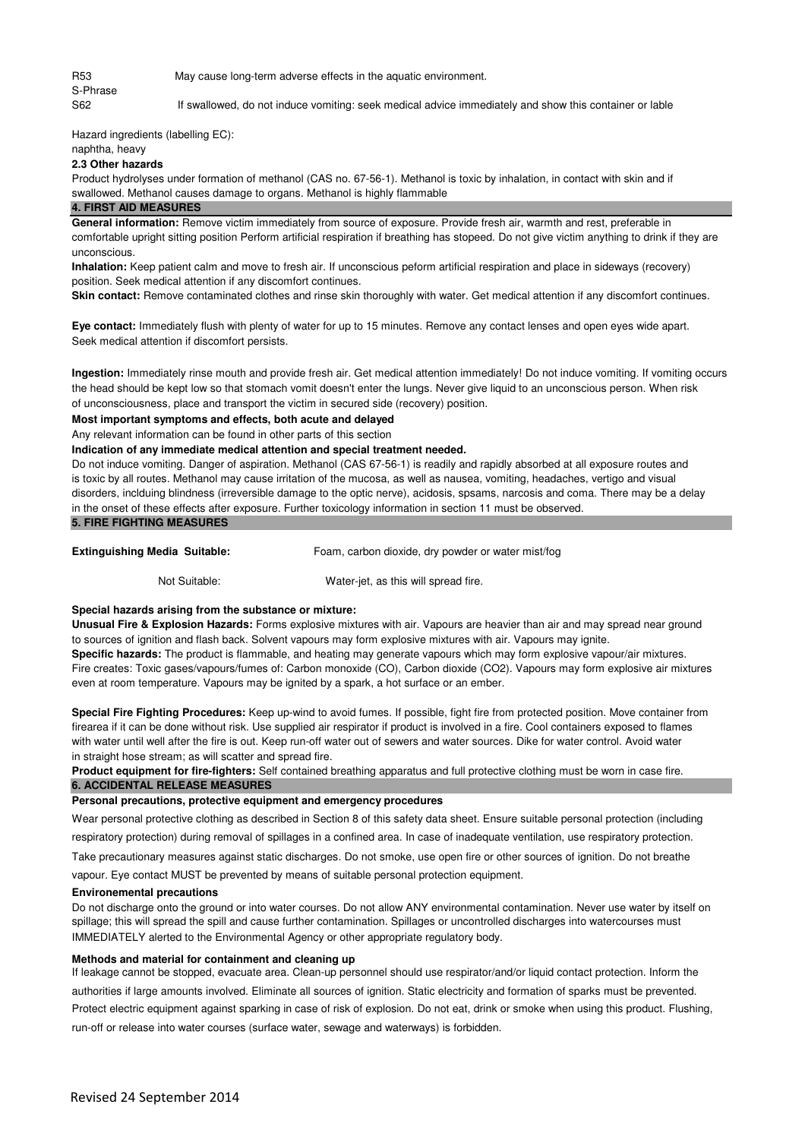S-Phrase

R53 May cause long-term adverse effects in the aquatic environment.

S62 If swallowed, do not induce vomiting: seek medical advice immediately and show this container or lable

Hazard ingredients (labelling EC):

naphtha, heavy

# **2.3 Other hazards**

swallowed. Methanol causes damage to organs. Methanol is highly flammable Product hydrolyses under formation of methanol (CAS no. 67-56-1). Methanol is toxic by inhalation, in contact with skin and if

## **4. FIRST AID MEASURES**

unconscious. **General information:** Remove victim immediately from source of exposure. Provide fresh air, warmth and rest, preferable in comfortable upright sitting position Perform artificial respiration if breathing has stopeed. Do not give victim anything to drink if they are

position. Seek medical attention if any discomfort continues. **Inhalation:** Keep patient calm and move to fresh air. If unconscious peform artificial respiration and place in sideways (recovery)

**Skin contact:** Remove contaminated clothes and rinse skin thoroughly with water. Get medical attention if any discomfort continues.

**Eye contact:** Immediately flush with plenty of water for up to 15 minutes. Remove any contact lenses and open eyes wide apart. Seek medical attention if discomfort persists.

the head should be kept low so that stomach vomit doesn't enter the lungs. Never give liquid to an unconscious person. When risk of unconsciousness, place and transport the victim in secured side (recovery) position. **Ingestion:** Immediately rinse mouth and provide fresh air. Get medical attention immediately! Do not induce vomiting. If vomiting occurs

# **Most important symptoms and effects, both acute and delayed**

Any relevant information can be found in other parts of this section

#### **Indication of any immediate medical attention and special treatment needed.**

in the onset of these effects after exposure. Further toxicology information in section 11 must be observed. is toxic by all routes. Methanol may cause irritation of the mucosa, as well as nausea, vomiting, headaches, vertigo and visual disorders, inclduing blindness (irreversible damage to the optic nerve), acidosis, spsams, narcosis and coma. There may be a delay Do not induce vomiting. Danger of aspiration. Methanol (CAS 67-56-1) is readily and rapidly absorbed at all exposure routes and **5. FIRE FIGHTING MEASURES** 

## **Extinguishing Media Suitable:** Foam, carbon dioxide, dry powder or water mist/fog

Not Suitable: Water-jet, as this will spread fire.

#### **Special hazards arising from the substance or mixture:**

**Unusual Fire & Explosion Hazards:** Forms explosive mixtures with air. Vapours are heavier than air and may spread near ground to sources of ignition and flash back. Solvent vapours may form explosive mixtures with air. Vapours may ignite.

Fire creates: Toxic gases/vapours/fumes of: Carbon monoxide (CO), Carbon dioxide (CO2). Vapours may form explosive air mixtures **Specific hazards:** The product is flammable, and heating may generate vapours which may form explosive vapour/air mixtures. even at room temperature. Vapours may be ignited by a spark, a hot surface or an ember.

**Special Fire Fighting Procedures:** Keep up-wind to avoid fumes. If possible, fight fire from protected position. Move container from : firearea if it can be done without risk. Use supplied air respirator if product is involved in a fire. Cool containers exposed to flames with water until well after the fire is out. Keep run-off water out of sewers and water sources. Dike for water control. Avoid water in straight hose stream; as will scatter and spread fire.

**6. ACCIDENTAL RELEASE MEASURES Product equipment for fire-fighters:** Self contained breathing apparatus and full protective clothing must be worn in case fire.

#### **Personal precautions, protective equipment and emergency procedures**

Wear personal protective clothing as described in Section 8 of this safety data sheet. Ensure suitable personal protection (including

respiratory protection) during removal of spillages in a confined area. In case of inadequate ventilation, use respiratory protection.

Take precautionary measures against static discharges. Do not smoke, use open fire or other sources of ignition. Do not breathe vapour. Eye contact MUST be prevented by means of suitable personal protection equipment.

#### **Environemental precautions**

Do not discharge onto the ground or into water courses. Do not allow ANY environmental contamination. Never use water by itself on IMMEDIATELY alerted to the Environmental Agency or other appropriate regulatory body. spillage; this will spread the spill and cause further contamination. Spillages or uncontrolled discharges into watercourses must

#### **Methods and material for containment and cleaning up**

Protect electric equipment against sparking in case of risk of explosion. Do not eat, drink or smoke when using this product. Flushing, run-off or release into water courses (surface water, sewage and waterways) is forbidden. authorities if large amounts involved. Eliminate all sources of ignition. Static electricity and formation of sparks must be prevented. If leakage cannot be stopped, evacuate area. Clean-up personnel should use respirator/and/or liquid contact protection. Inform the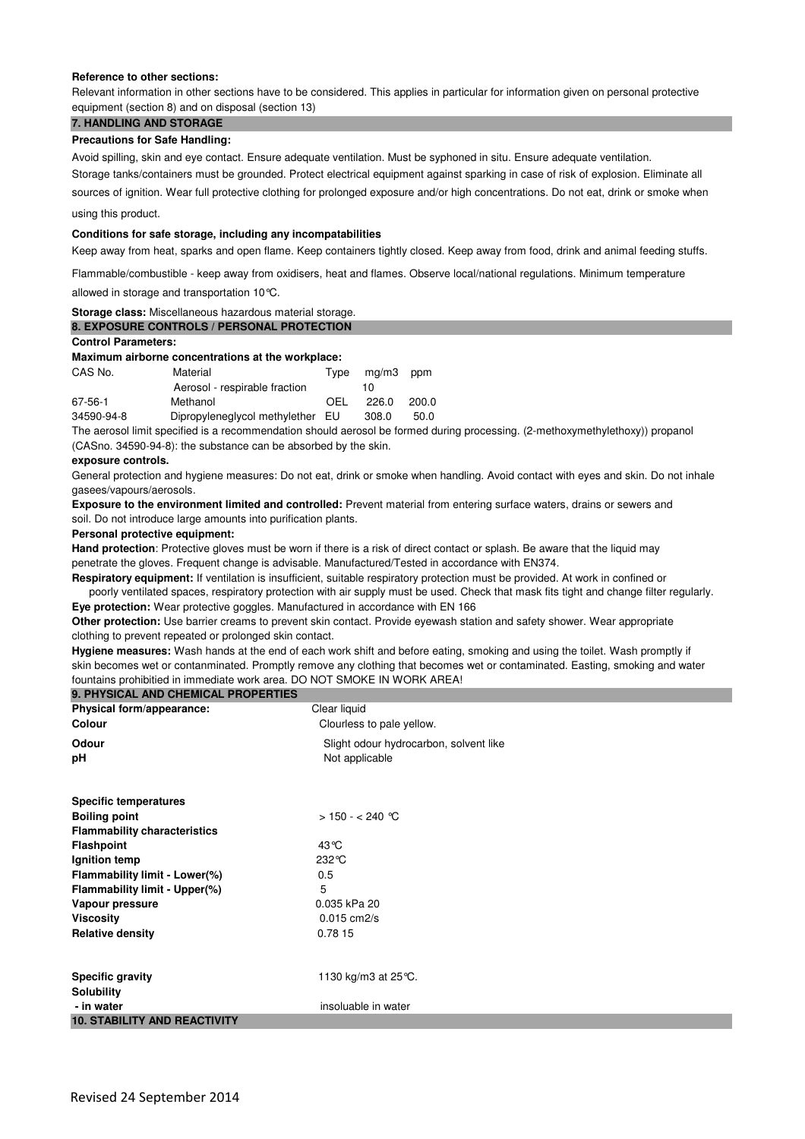#### **Reference to other sections:**

Relevant information in other sections have to be considered. This applies in particular for information given on personal protective equipment (section 8) and on disposal (section 13)

# **7. HANDLING AND STORAGE**

# **Precautions for Safe Handling:**

Avoid spilling, skin and eye contact. Ensure adequate ventilation. Must be syphoned in situ. Ensure adequate ventilation. Storage tanks/containers must be grounded. Protect electrical equipment against sparking in case of risk of explosion. Eliminate all

using this product. sources of ignition. Wear full protective clothing for prolonged exposure and/or high concentrations. Do not eat, drink or smoke when

#### **Conditions for safe storage, including any incompatabilities**

Keep away from heat, sparks and open flame. Keep containers tightly closed. Keep away from food, drink and animal feeding stuffs.

Flammable/combustible - keep away from oxidisers, heat and flames. Observe local/national regulations. Minimum temperature

allowed in storage and transportation 10°C.

| Storage class: Miscellaneous hazardous material storage. |
|----------------------------------------------------------|
| <b>8. EXPOSURE CONTROLS / PERSONAL PROTECTION</b>        |

# **Control Parameters:**

# **Maximum airborne concentrations at the workplace:**

| CAS No.    | Material<br>Aerosol - respirable fraction | Tvpe | mg/m3<br>10 | ppm   |
|------------|-------------------------------------------|------|-------------|-------|
| 67-56-1    | Methanol                                  | OEL  | 226.0       | 200.0 |
| 34590-94-8 | Dipropyleneglycol methylether EU          |      | 308.0       | 50.0  |

(CASno. 34590-94-8): the substance can be absorbed by the skin. The aerosol limit specified is a recommendation should aerosol be formed during processing. (2-methoxymethylethoxy)) propanol

#### **exposure controls.**

gasees/vapours/aerosols. General protection and hygiene measures: Do not eat, drink or smoke when handling. Avoid contact with eyes and skin. Do not inhale

**Exposure to the environment limited and controlled:** Prevent material from entering surface waters, drains or sewers and soil. Do not introduce large amounts into purification plants.

#### **Personal protective equipment:**

penetrate the gloves. Frequent change is advisable. Manufactured/Tested in accordance with EN374. **Hand protection**: Protective gloves must be worn if there is a risk of direct contact or splash. Be aware that the liquid may

**Respiratory equipment:** If ventilation is insufficient, suitable respiratory protection must be provided. At work in confined or poorly ventilated spaces, respiratory protection with air supply must be used. Check that mask fits tight and change filter regularly.

**Eye protection:** Wear protective goggles. Manufactured in accordance with EN 166 **Other protection:** Use barrier creams to prevent skin contact. Provide eyewash station and safety shower. Wear appropriate clothing to prevent repeated or prolonged skin contact.

skin becomes wet or contanminated. Promptly remove any clothing that becomes wet or contaminated. Easting, smoking and water fountains prohibitied in immediate work area. DO NOT SMOKE IN WORK AREA! **Hygiene measures:** Wash hands at the end of each work shift and before eating, smoking and using the toilet. Wash promptly if

| <b>9. PHYSICAL AND CHEMICAL PROPERTIES</b> |                                        |
|--------------------------------------------|----------------------------------------|
| Physical form/appearance:                  | Clear liquid                           |
| Colour                                     | Clourless to pale yellow.              |
| Odour                                      | Slight odour hydrocarbon, solvent like |
| рH                                         | Not applicable                         |
| <b>Specific temperatures</b>               |                                        |
| <b>Boiling point</b>                       | > 150 - < 240 ℃                        |
| <b>Flammability characteristics</b>        |                                        |
| <b>Flashpoint</b>                          | 43 °C                                  |
| Ignition temp                              | $232^\circ C$                          |
| Flammability limit - Lower(%)              | 0.5                                    |
| Flammability limit - Upper(%)              | 5                                      |
| Vapour pressure                            | 0.035 kPa 20                           |
| <b>Viscosity</b>                           | $0.015$ cm $2/s$                       |
| <b>Relative density</b>                    | 0.78 15                                |
| <b>Specific gravity</b>                    | 1130 kg/m3 at 25 °C.                   |
| <b>Solubility</b>                          |                                        |
| - in water                                 | insoluable in water                    |
| <b>10. STABILITY AND REACTIVITY</b>        |                                        |
|                                            |                                        |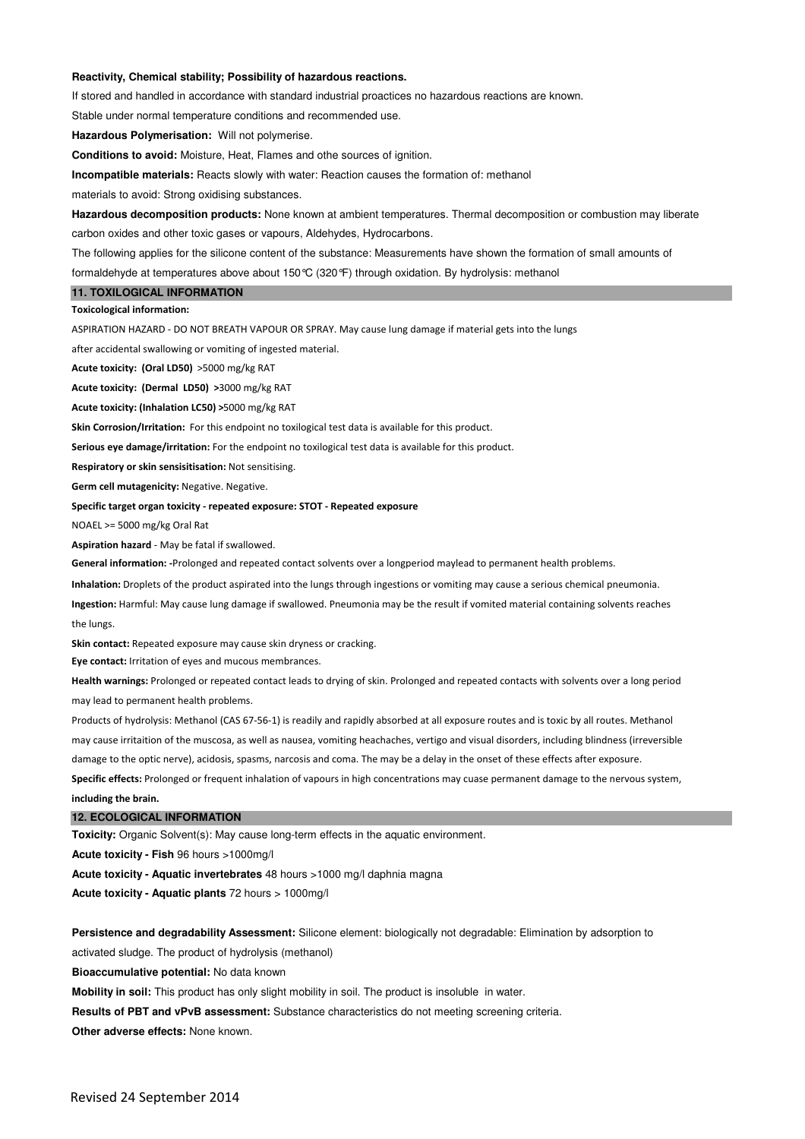#### **Reactivity, Chemical stability; Possibility of hazardous reactions.**

If stored and handled in accordance with standard industrial proactices no hazardous reactions are known.

Stable under normal temperature conditions and recommended use.

**Hazardous Polymerisation:** Will not polymerise.

**Conditions to avoid:** Moisture, Heat, Flames and othe sources of ignition.

**Incompatible materials:** Reacts slowly with water: Reaction causes the formation of: methanol

materials to avoid: Strong oxidising substances.

**Hazardous decomposition products:** None known at ambient temperatures. Thermal decomposition or combustion may liberate

carbon oxides and other toxic gases or vapours, Aldehydes, Hydrocarbons.

The following applies for the silicone content of the substance: Measurements have shown the formation of small amounts of formaldehyde at temperatures above about 150°C (320°F) through oxidation. By hydrolysis: methanol

## **11. TOXILOGICAL INFORMATION**

#### **Toxicological information:**

ASPIRATION HAZARD - DO NOT BREATH VAPOUR OR SPRAY. May cause lung damage if material gets into the lungs

after accidental swallowing or vomiting of ingested material.

**Acute toxicity: (Oral LD50)** >5000 mg/kg RAT

**Acute toxicity: (Dermal LD50) >**3000 mg/kg RAT

**Acute toxicity: (Inhalation LC50) >**5000 mg/kg RAT

**Skin Corrosion/Irritation:** For this endpoint no toxilogical test data is available for this product.

**Serious eye damage/irritation:** For the endpoint no toxilogical test data is available for this product.

**Respiratory or skin sensisitisation:** Not sensitising.

**Germ cell mutagenicity:** Negative. Negative.

**Specific target organ toxicity - repeated exposure: STOT - Repeated exposure**

NOAEL >= 5000 mg/kg Oral Rat

**Aspiration hazard** - May be fatal if swallowed.

**General information: -**Prolonged and repeated contact solvents over a longperiod maylead to permanent health problems.

**Inhalation:** Droplets of the product aspirated into the lungs through ingestions or vomiting may cause a serious chemical pneumonia.

**Ingestion:** Harmful: May cause lung damage if swallowed. Pneumonia may be the result if vomited material containing solvents reaches the lungs.

**Skin contact:** Repeated exposure may cause skin dryness or cracking.

**Eye contact:** Irritation of eyes and mucous membrances.

**Health warnings:** Prolonged or repeated contact leads to drying of skin. Prolonged and repeated contacts with solvents over a long period may lead to permanent health problems.

Products of hydrolysis: Methanol (CAS 67-56-1) is readily and rapidly absorbed at all exposure routes and is toxic by all routes. Methanol may cause irritaition of the muscosa, as well as nausea, vomiting heachaches, vertigo and visual disorders, including blindness (irreversible damage to the optic nerve), acidosis, spasms, narcosis and coma. The may be a delay in the onset of these effects after exposure.

**Specific effects:** Prolonged or frequent inhalation of vapours in high concentrations may cuase permanent damage to the nervous system, **including the brain.**

#### **12. ECOLOGICAL INFORMATION**

**Toxicity:** Organic Solvent(s): May cause long-term effects in the aquatic environment.

**Acute toxicity - Fish** 96 hours >1000mg/l

**Acute toxicity - Aquatic invertebrates** 48 hours >1000 mg/l daphnia magna

**Acute toxicity - Aquatic plants** 72 hours > 1000mg/l

activated sludge. The product of hydrolysis (methanol) **Persistence and degradability Assessment:** Silicone element: biologically not degradable: Elimination by adsorption to

**Bioaccumulative potential:** No data known

**Mobility in soil:** This product has only slight mobility in soil. The product is insoluble in water.

**Results of PBT and vPvB assessment:** Substance characteristics do not meeting screening criteria.

**Other adverse effects:** None known.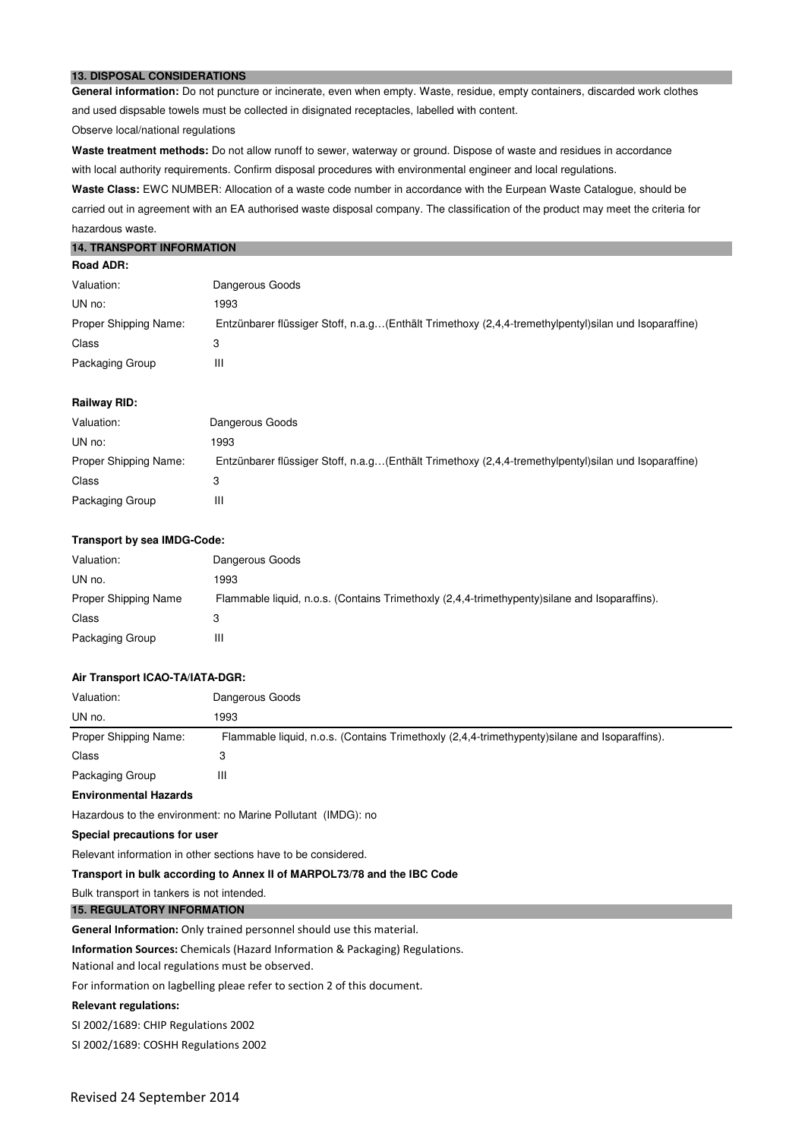## **13. DISPOSAL CONSIDERATIONS**

**General information:** Do not puncture or incinerate, even when empty. Waste, residue, empty containers, discarded work clothes and used dispsable towels must be collected in disignated receptacles, labelled with content.

Observe local/national regulations

**Waste treatment methods:** Do not allow runoff to sewer, waterway or ground. Dispose of waste and residues in accordance with local authority requirements. Confirm disposal procedures with environmental engineer and local regulations.

carried out in agreement with an EA authorised waste disposal company. The classification of the product may meet the criteria for hazardous waste. Waste Class: EWC NUMBER: Allocation of a waste code number in accordance with the Eurpean Waste Catalogue, should be

#### **14. TRANSPORT INFORMATION**

| <b>Road ADR:</b> |  |
|------------------|--|
|------------------|--|

| Valuation:            | Dangerous Goods                                                                                        |
|-----------------------|--------------------------------------------------------------------------------------------------------|
| UN no:                | 1993                                                                                                   |
| Proper Shipping Name: | Entzünbarer flüssiger Stoff, n.a.g (Enthält Trimethoxy (2,4,4-tremethylpentyl) silan und Isoparaffine) |
| Class                 |                                                                                                        |
| Packaging Group       | Ш                                                                                                      |

#### **Railway RID:**

| Valuation:            | Dangerous Goods                                                                                       |
|-----------------------|-------------------------------------------------------------------------------------------------------|
| UN no:                | 1993                                                                                                  |
| Proper Shipping Name: | Entzünbarer flüssiger Stoff, n.a.g(Enthält Trimethoxy (2,4,4-tremethylpentyl) silan und Isoparaffine) |
| Class                 |                                                                                                       |
| Packaging Group       | Ш                                                                                                     |

#### **Transport by sea IMDG-Code:**

| Valuation:           | Dangerous Goods                                                                                |
|----------------------|------------------------------------------------------------------------------------------------|
| UN no.               | 1993                                                                                           |
| Proper Shipping Name | Flammable liquid, n.o.s. (Contains Trimethoxly (2,4,4-trimethypenty) silane and Isoparaffins). |
| Class                |                                                                                                |
| Packaging Group      | Ш                                                                                              |

#### **Air Transport ICAO-TA/IATA-DGR:**

| Valuation:            | Dangerous Goods                                                                                |
|-----------------------|------------------------------------------------------------------------------------------------|
| UN no.                | 1993                                                                                           |
| Proper Shipping Name: | Flammable liquid, n.o.s. (Contains Trimethoxly (2,4,4-trimethypenty) silane and Isoparaffins). |
| Class                 |                                                                                                |
| Packaging Group       | Ш                                                                                              |

#### **Environmental Hazards**

Hazardous to the environment: no Marine Pollutant (IMDG): no

#### **Special precautions for user**

Relevant information in other sections have to be considered.

#### **Transport in bulk according to Annex II of MARPOL73/78 and the IBC Code**

Bulk transport in tankers is not intended.

#### **15. REGULATORY INFORMATION**

General Information: Only trained personnel should use this material.

**Information Sources:** Chemicals (Hazard Information & Packaging) Regulations.

National and local regulations must be observed.

For information on lagbelling pleae refer to section 2 of this document.

#### **Relevant regulations:**

SI 2002/1689: CHIP Regulations 2002

SI 2002/1689: COSHH Regulations 2002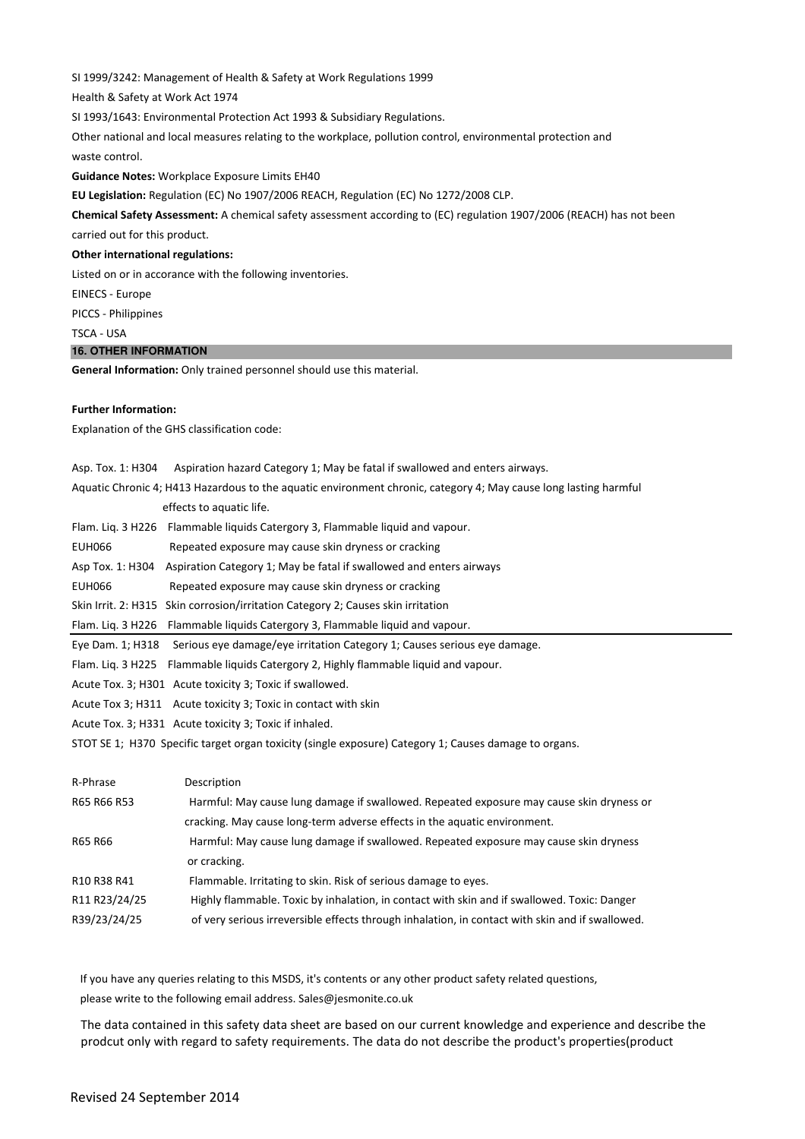SI 1999/3242: Management of Health & Safety at Work Regulations 1999

Health & Safety at Work Act 1974

SI 1993/1643: Environmental Protection Act 1993 & Subsidiary Regulations.

Other national and local measures relating to the workplace, pollution control, environmental protection and

waste control.

**Guidance Notes:** Workplace Exposure Limits EH40

**EU Legislation:** Regulation (EC) No 1907/2006 REACH, Regulation (EC) No 1272/2008 CLP.

**Chemical Safety Assessment:** A chemical safety assessment according to (EC) regulation 1907/2006 (REACH) has not been

carried out for this product.

**Other international regulations:** 

Listed on or in accorance with the following inventories.

EINECS - Europe

PICCS - Philippines

TSCA - USA

# **16. OTHER INFORMATION**

**General Information:** Only trained personnel should use this material.

#### **Further Information:**

Explanation of the GHS classification code:

|                  | Asp. Tox. 1: H304 Aspiration hazard Category 1; May be fatal if swallowed and enters airways.                    |
|------------------|------------------------------------------------------------------------------------------------------------------|
|                  | Aquatic Chronic 4; H413 Hazardous to the aquatic environment chronic, category 4; May cause long lasting harmful |
|                  | effects to aquatic life.                                                                                         |
|                  | Flam. Lig. 3 H226 Flammable liguids Catergory 3, Flammable liguid and vapour.                                    |
| EUH066           | Repeated exposure may cause skin dryness or cracking                                                             |
| Asp Tox. 1: H304 | Aspiration Category 1; May be fatal if swallowed and enters airways                                              |
| EUH066           | Repeated exposure may cause skin dryness or cracking                                                             |
|                  | Skin Irrit. 2: H315 Skin corrosion/irritation Category 2; Causes skin irritation                                 |
|                  | Flam. Lig. 3 H226 Flammable liquids Catergory 3, Flammable liquid and vapour.                                    |
|                  | Eye Dam. 1; H318 Serious eye damage/eye irritation Category 1; Causes serious eye damage.                        |
|                  | Flam. Lig. 3 H225 Flammable liguids Catergory 2, Highly flammable liguid and vapour.                             |
|                  | Acute Tox. 3; H301 Acute toxicity 3; Toxic if swallowed.                                                         |
|                  | Acute Tox 3; H311 Acute toxicity 3; Toxic in contact with skin                                                   |
|                  | Acute Tox. 3; H331 Acute toxicity 3; Toxic if inhaled.                                                           |
|                  |                                                                                                                  |

STOT SE 1; H370 Specific target organ toxicity (single exposure) Category 1; Causes damage to organs.

| R-Phrase      | Description                                                                                     |
|---------------|-------------------------------------------------------------------------------------------------|
| R65 R66 R53   | Harmful: May cause lung damage if swallowed. Repeated exposure may cause skin dryness or        |
|               | cracking. May cause long-term adverse effects in the aquatic environment.                       |
| R65 R66       | Harmful: May cause lung damage if swallowed. Repeated exposure may cause skin dryness           |
|               | or cracking.                                                                                    |
| R10 R38 R41   | Flammable. Irritating to skin. Risk of serious damage to eyes.                                  |
| R11 R23/24/25 | Highly flammable. Toxic by inhalation, in contact with skin and if swallowed. Toxic: Danger     |
| R39/23/24/25  | of very serious irreversible effects through inhalation, in contact with skin and if swallowed. |

 If you have any queries relating to this MSDS, it's contents or any other product safety related questions, please write to the following email address. Sales@jesmonite.co.uk

The data contained in this safety data sheet are based on our current knowledge and experience and describe the prodcut only with regard to safety requirements. The data do not describe the product's properties(product